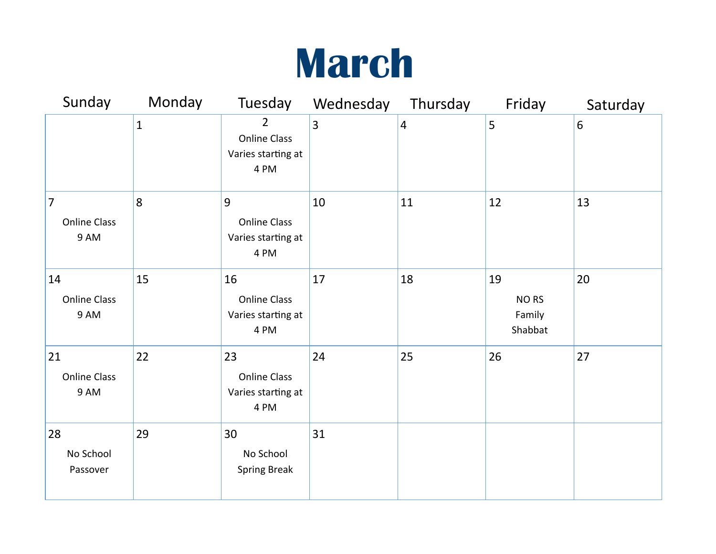## **March**

| Sunday                                   | Monday       | Tuesday                                                             | Wednesday      | Thursday       | Friday                                      | Saturday |
|------------------------------------------|--------------|---------------------------------------------------------------------|----------------|----------------|---------------------------------------------|----------|
|                                          | $\mathbf{1}$ | $\overline{2}$<br><b>Online Class</b><br>Varies starting at<br>4 PM | $\overline{3}$ | $\overline{4}$ | 5                                           | 6        |
| $\vert$ 7<br><b>Online Class</b><br>9 AM | 8            | 9<br><b>Online Class</b><br>Varies starting at<br>4 PM              | 10             | 11             | 12                                          | 13       |
| 14<br><b>Online Class</b><br>9 AM        | 15           | 16<br><b>Online Class</b><br>Varies starting at<br>4 PM             | 17             | 18             | 19<br>NO <sub>RS</sub><br>Family<br>Shabbat | 20       |
| 21<br><b>Online Class</b><br>9 AM        | 22           | 23<br><b>Online Class</b><br>Varies starting at<br>4 PM             | 24             | 25             | 26                                          | 27       |
| 28<br>No School<br>Passover              | 29           | 30<br>No School<br><b>Spring Break</b>                              | 31             |                |                                             |          |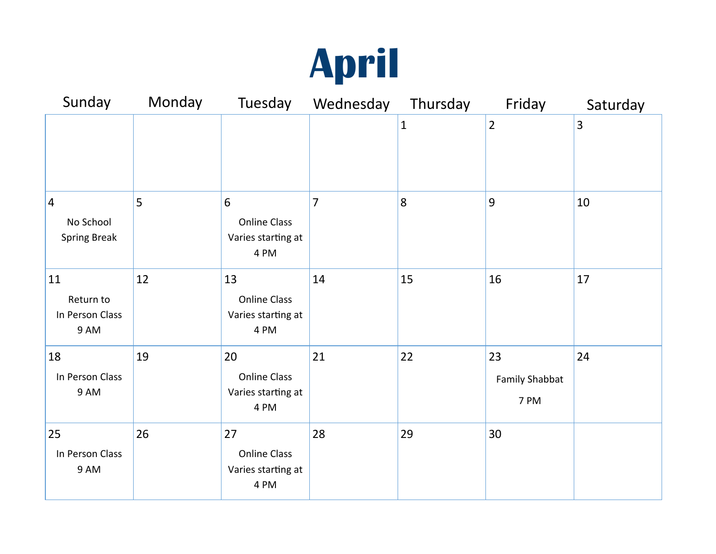

| Sunday                                              | Monday | Tuesday                                                 | Wednesday      | Thursday     | Friday                              | Saturday |
|-----------------------------------------------------|--------|---------------------------------------------------------|----------------|--------------|-------------------------------------|----------|
|                                                     |        |                                                         |                | $\mathbf{1}$ | $\overline{2}$                      | 3        |
| $\vert 4 \vert$<br>No School<br><b>Spring Break</b> | 5      | 6<br><b>Online Class</b><br>Varies starting at<br>4 PM  | $\overline{7}$ | 8            | 9                                   | 10       |
| 11<br>Return to<br>In Person Class<br>9 AM          | 12     | 13<br><b>Online Class</b><br>Varies starting at<br>4 PM | 14             | 15           | 16                                  | 17       |
| 18<br>In Person Class<br>9 AM                       | 19     | 20<br><b>Online Class</b><br>Varies starting at<br>4 PM | 21             | 22           | 23<br><b>Family Shabbat</b><br>7 PM | 24       |
| 25<br>In Person Class<br>9 AM                       | 26     | 27<br><b>Online Class</b><br>Varies starting at<br>4 PM | 28             | 29           | 30                                  |          |